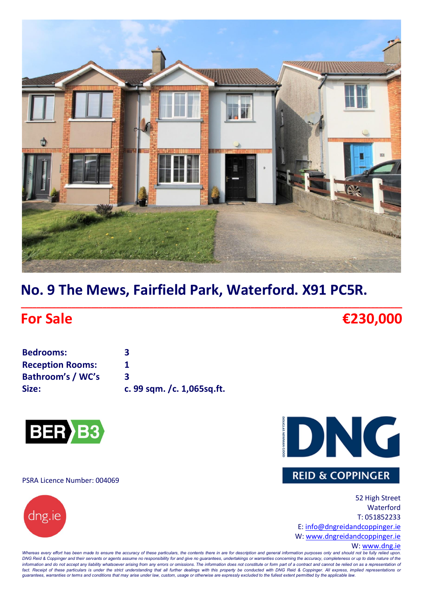

# **No. 9 The Mews, Fairfield Park, Waterford. X91 PC5R.**

**\_\_\_\_\_\_\_\_\_\_\_\_\_\_\_\_\_\_\_\_\_\_\_\_\_\_\_\_\_\_\_\_\_\_\_\_\_\_\_\_\_\_\_\_\_\_\_\_\_\_\_\_\_\_\_\_\_\_\_\_\_\_\_\_\_\_\_\_\_\_\_\_\_\_\_\_\_\_\_\_\_\_\_\_\_\_\_\_\_\_\_\_\_\_\_\_\_\_**

| <b>Bedrooms:</b>         | 3                          |
|--------------------------|----------------------------|
| <b>Reception Rooms:</b>  | 1                          |
| <b>Bathroom's / WC's</b> | 3                          |
| Size:                    | c. 99 sqm. /c. 1,065sq.ft. |



#### PSRA Licence Number: 004069



DNG

#### **REID & COPPINGER**

52 High Street Waterford T: 051852233 E: [info@dngreidandcoppinger.ie](mailto:info@dngreidandcoppinger.ie) W: [www.dngreidandcoppinger.ie](http://www.dngreidandcoppinger.ie/)

#### W: [www.dng.ie](http://www.dng.ie/)

Whereas every effort has been made to ensure the accuracy of these particulars, the contents there in are for description and general information purposes only and should not be fully relied upon. *DNG Reid & Coppinger and their servants or agents assume no responsibility for and give no guarantees, undertakings or warranties concerning the accuracy, completeness or up to date nature of the*  information and do not accept any liability whatsoever arising from any errors or omissions. The information does not constitute or form part of a contract and cannot be relied on as a representation of<br>fact. Receipt of th guarantees, warranties or terms and conditions that may arise under law, custom, usage or otherwise are expressly excluded to the fullest extent permitted by the applicable law.

**For Sale €230,000**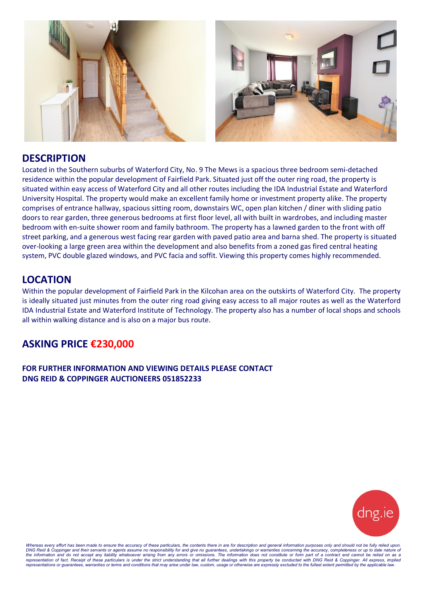

### **DESCRIPTION**

Located in the Southern suburbs of Waterford City, No. 9 The Mews is a spacious three bedroom semi-detached residence within the popular development of Fairfield Park. Situated just off the outer ring road, the property is situated within easy access of Waterford City and all other routes including the IDA Industrial Estate and Waterford University Hospital. The property would make an excellent family home or investment property alike. The property comprises of entrance hallway, spacious sitting room, downstairs WC, open plan kitchen / diner with sliding patio doors to rear garden, three generous bedrooms at first floor level, all with built in wardrobes, and including master bedroom with en-suite shower room and family bathroom. The property has a lawned garden to the front with off street parking, and a generous west facing rear garden with paved patio area and barna shed. The property is situated over-looking a large green area within the development and also benefits from a zoned gas fired central heating system, PVC double glazed windows, and PVC facia and soffit. Viewing this property comes highly recommended.

## **LOCATION**

Within the popular development of Fairfield Park in the Kilcohan area on the outskirts of Waterford City. The property is ideally situated just minutes from the outer ring road giving easy access to all major routes as well as the Waterford IDA Industrial Estate and Waterford Institute of Technology. The property also has a number of local shops and schools all within walking distance and is also on a major bus route.

# **ASKING PRICE €230,000**

**FOR FURTHER INFORMATION AND VIEWING DETAILS PLEASE CONTACT DNG REID & COPPINGER AUCTIONEERS 051852233**



Whereas every effort has been made to ensure the accuracy of these particulars, the contents there in are for description and general information purposes only and should not be fully relied upon *DNG Reid & Coppinger and their servants or agents assume no responsibility for and give no guarantees, undertakings or warranties concerning the accuracy, completeness or up to date nature of the information and do not accept any liability whatsoever arising from any errors or omissions. The information does not constitute or form part of a contract and cannot be relied on as a*  representation of fact. Receipt of these particulars is under the strict understanding that all further dealings with this property be conducted with DNG Reid & Coppinger. All express, implied<br>representations or guarantees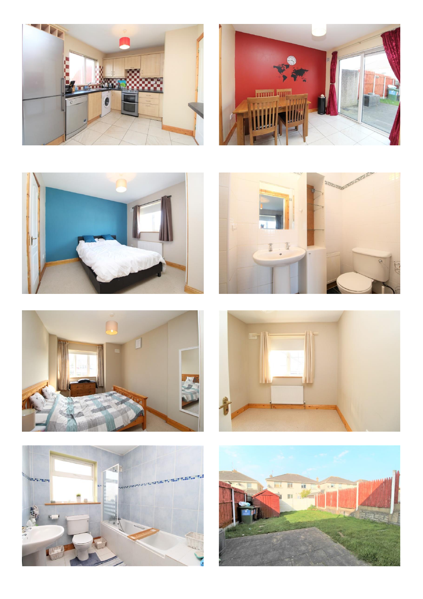